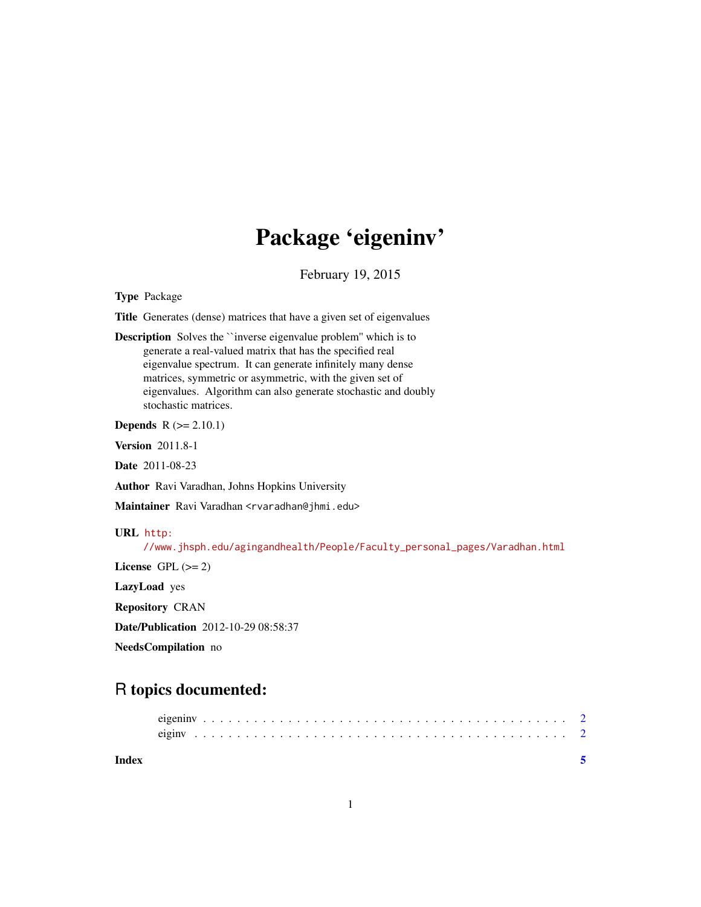# Package 'eigeninv'

February 19, 2015

Type Package

Title Generates (dense) matrices that have a given set of eigenvalues

Description Solves the ``inverse eigenvalue problem'' which is to generate a real-valued matrix that has the specified real eigenvalue spectrum. It can generate infinitely many dense matrices, symmetric or asymmetric, with the given set of eigenvalues. Algorithm can also generate stochastic and doubly stochastic matrices.

**Depends**  $R$  ( $>= 2.10.1$ )

Version 2011.8-1

Date 2011-08-23

Author Ravi Varadhan, Johns Hopkins University

Maintainer Ravi Varadhan <rvaradhan@jhmi.edu>

#### URL [http:](http://www.jhsph.edu/agingandhealth/People/Faculty_personal_pages/Varadhan.html)

[//www.jhsph.edu/agingandhealth/People/Faculty\\_personal\\_pages/Varadhan.html](http://www.jhsph.edu/agingandhealth/People/Faculty_personal_pages/Varadhan.html)

License GPL  $(>= 2)$ 

LazyLoad yes

Repository CRAN

Date/Publication 2012-10-29 08:58:37

NeedsCompilation no

## R topics documented:

| Index |  |  |  |  |  |  |  |  |  |  |  |  |  |  |  |  |  |  |  |  |  |  |
|-------|--|--|--|--|--|--|--|--|--|--|--|--|--|--|--|--|--|--|--|--|--|--|
|       |  |  |  |  |  |  |  |  |  |  |  |  |  |  |  |  |  |  |  |  |  |  |
|       |  |  |  |  |  |  |  |  |  |  |  |  |  |  |  |  |  |  |  |  |  |  |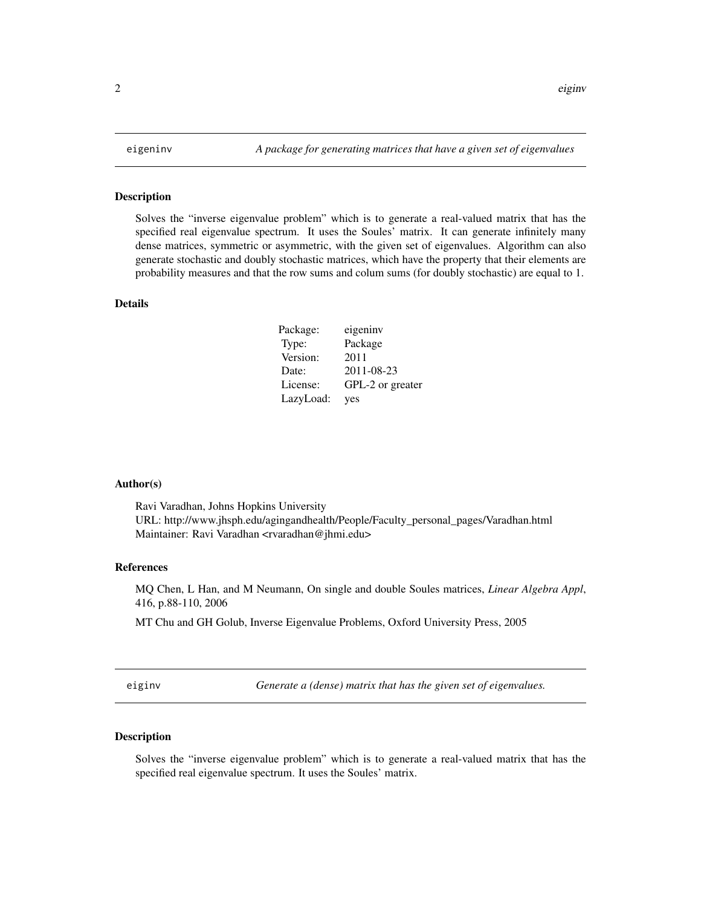#### <span id="page-1-0"></span>Description

Solves the "inverse eigenvalue problem" which is to generate a real-valued matrix that has the specified real eigenvalue spectrum. It uses the Soules' matrix. It can generate infinitely many dense matrices, symmetric or asymmetric, with the given set of eigenvalues. Algorithm can also generate stochastic and doubly stochastic matrices, which have the property that their elements are probability measures and that the row sums and colum sums (for doubly stochastic) are equal to 1.

#### Details

| Package:  | eigeniny         |
|-----------|------------------|
| Type:     | Package          |
| Version:  | 2011             |
| Date:     | 2011-08-23       |
| License:  | GPL-2 or greater |
| LazyLoad: | yes              |

### Author(s)

Ravi Varadhan, Johns Hopkins University URL: http://www.jhsph.edu/agingandhealth/People/Faculty\_personal\_pages/Varadhan.html Maintainer: Ravi Varadhan <rvaradhan@jhmi.edu>

#### References

MQ Chen, L Han, and M Neumann, On single and double Soules matrices, *Linear Algebra Appl*, 416, p.88-110, 2006

MT Chu and GH Golub, Inverse Eigenvalue Problems, Oxford University Press, 2005

eiginv *Generate a (dense) matrix that has the given set of eigenvalues.*

### Description

Solves the "inverse eigenvalue problem" which is to generate a real-valued matrix that has the specified real eigenvalue spectrum. It uses the Soules' matrix.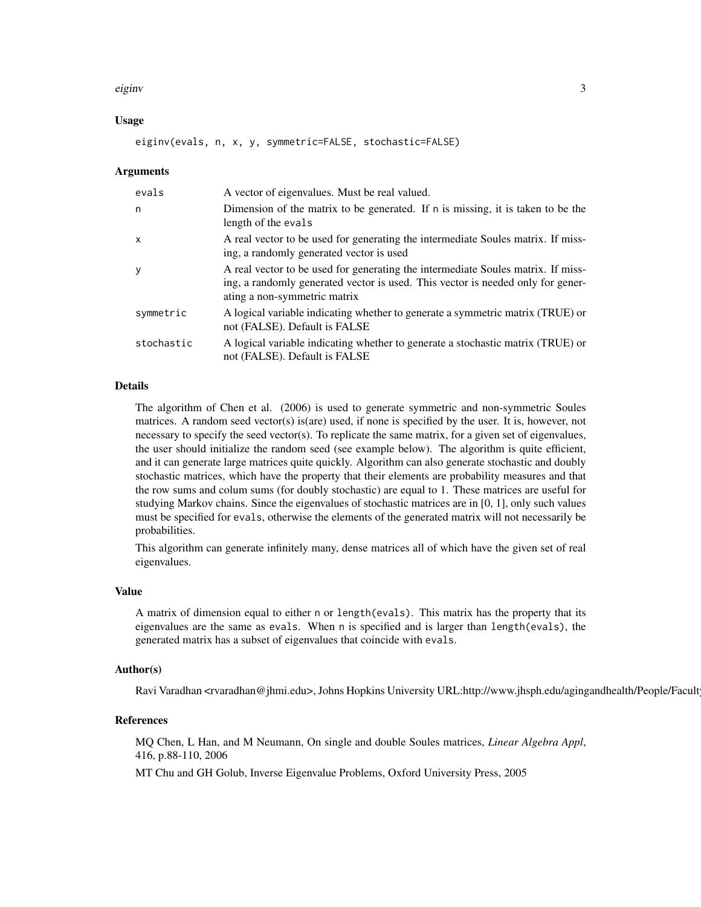#### eiginv 3

#### Usage

eiginv(evals, n, x, y, symmetric=FALSE, stochastic=FALSE)

#### Arguments

| evals        | A vector of eigenvalues. Must be real valued.                                                                                                                                                       |
|--------------|-----------------------------------------------------------------------------------------------------------------------------------------------------------------------------------------------------|
| n            | Dimension of the matrix to be generated. If n is missing, it is taken to be the<br>length of the evals                                                                                              |
| $\mathsf{x}$ | A real vector to be used for generating the intermediate Soules matrix. If miss-<br>ing, a randomly generated vector is used                                                                        |
| y            | A real vector to be used for generating the intermediate Soules matrix. If miss-<br>ing, a randomly generated vector is used. This vector is needed only for gener-<br>ating a non-symmetric matrix |
| symmetric    | A logical variable indicating whether to generate a symmetric matrix (TRUE) or<br>not (FALSE). Default is FALSE                                                                                     |
| stochastic   | A logical variable indicating whether to generate a stochastic matrix (TRUE) or<br>not (FALSE). Default is FALSE                                                                                    |

#### Details

The algorithm of Chen et al. (2006) is used to generate symmetric and non-symmetric Soules matrices. A random seed vector(s) is(are) used, if none is specified by the user. It is, however, not necessary to specify the seed vector(s). To replicate the same matrix, for a given set of eigenvalues, the user should initialize the random seed (see example below). The algorithm is quite efficient, and it can generate large matrices quite quickly. Algorithm can also generate stochastic and doubly stochastic matrices, which have the property that their elements are probability measures and that the row sums and colum sums (for doubly stochastic) are equal to 1. These matrices are useful for studying Markov chains. Since the eigenvalues of stochastic matrices are in [0, 1], only such values must be specified for evals, otherwise the elements of the generated matrix will not necessarily be probabilities.

This algorithm can generate infinitely many, dense matrices all of which have the given set of real eigenvalues.

#### Value

A matrix of dimension equal to either n or length(evals). This matrix has the property that its eigenvalues are the same as evals. When n is specified and is larger than length(evals), the generated matrix has a subset of eigenvalues that coincide with evals.

#### Author(s)

Ravi Varadhan <rvaradhan@jhmi.edu>, Johns Hopkins University URL:http://www.jhsph.edu/agingandhealth/People/Facult

#### References

MQ Chen, L Han, and M Neumann, On single and double Soules matrices, *Linear Algebra Appl*, 416, p.88-110, 2006

MT Chu and GH Golub, Inverse Eigenvalue Problems, Oxford University Press, 2005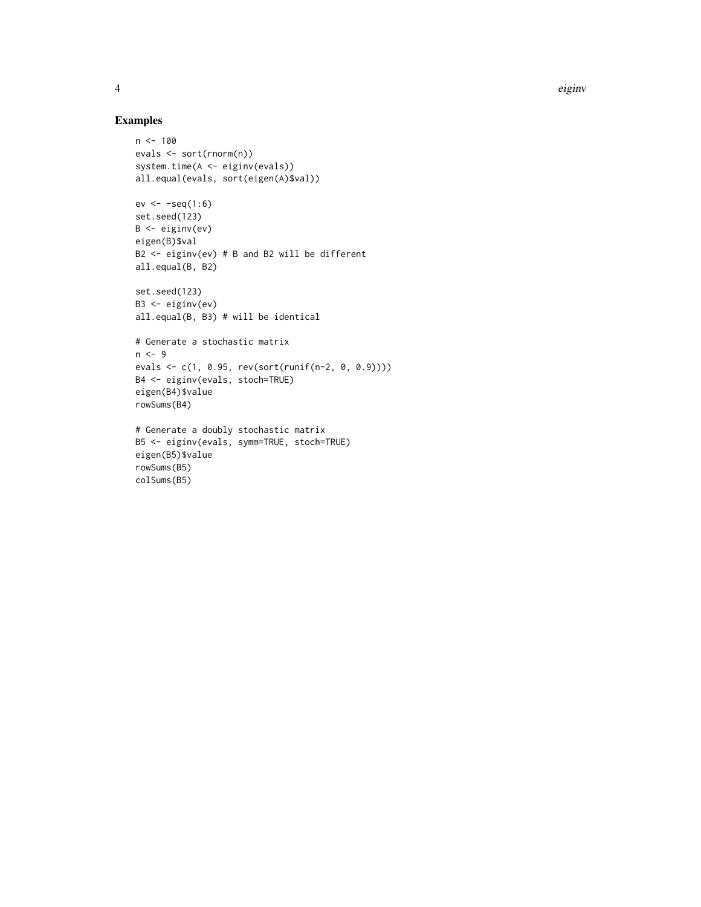### Examples

rowSums(B5) colSums(B5)

```
n < - 100evals <- sort(rnorm(n))
system.time(A <- eiginv(evals))
all.equal(evals, sort(eigen(A)$val))
ev \leftarrow -seq(1:6)set.seed(123)
B <- eiginv(ev)
eigen(B)$val
B2 <- eiginv(ev) # B and B2 will be different
all.equal(B, B2)
set.seed(123)
B3 <- eiginv(ev)
all.equal(B, B3) # will be identical
# Generate a stochastic matrix
n < -9evals <- c(1, 0.95, rev(sort(runif(n-2, 0, 0.9))))
B4 <- eiginv(evals, stoch=TRUE)
eigen(B4)$value
rowSums(B4)
# Generate a doubly stochastic matrix
B5 <- eiginv(evals, symm=TRUE, stoch=TRUE)
eigen(B5)$value
```